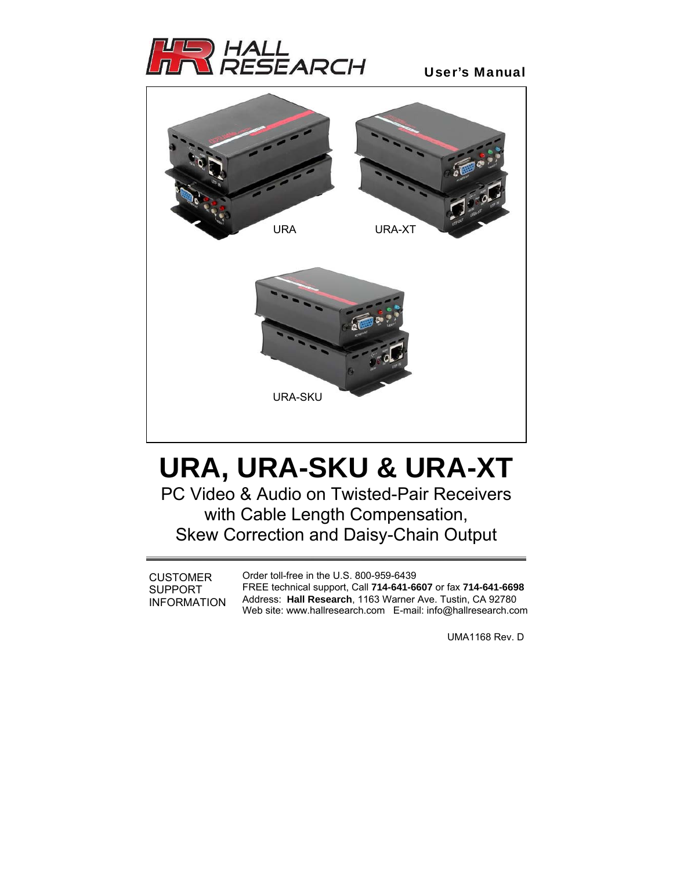

# User's Manual



# **URA, URA-SKU & URA-XT**

PC Video & Audio on Twisted-Pair Receivers with Cable Length Compensation, Skew Correction and Daisy-Chain Output

**CUSTOMER** SUPPORT INFORMATION Order toll-free in the U.S. 800-959-6439 FREE technical support, Call **714-641-6607** or fax **714-641-6698**  Address: **Hall Research**, 1163 Warner Ave. Tustin, CA 92780 Web site: www.hallresearch.com E-mail: info@hallresearch.com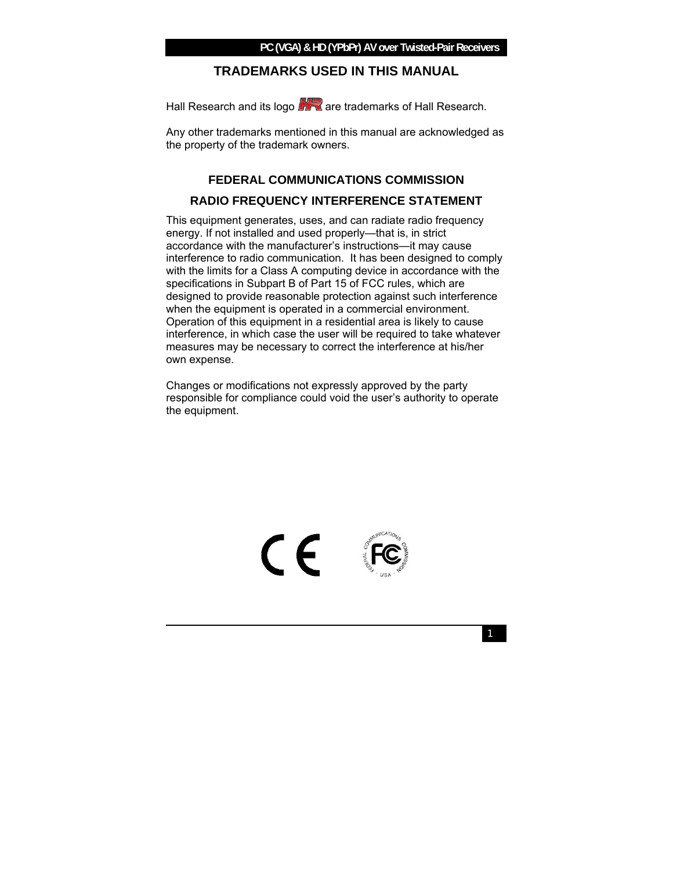### **PC (VGA) & HD (YPbPr) AV over Twisted-Pair Receivers**

### **TRADEMARKS USED IN THIS MANUAL**

Hall Research and its logo **ATA** are trademarks of Hall Research.

Any other trademarks mentioned in this manual are acknowledged as the property of the trademark owners.

# **FEDERAL COMMUNICATIONS COMMISSION RADIO FREQUENCY INTERFERENCE STATEMENT**

This equipment generates, uses, and can radiate radio frequency energy. If not installed and used properly—that is, in strict accordance with the manufacturer's instructions—it may cause interference to radio communication. It has been designed to comply with the limits for a Class A computing device in accordance with the specifications in Subpart B of Part 15 of FCC rules, which are designed to provide reasonable protection against such interference when the equipment is operated in a commercial environment. Operation of this equipment in a residential area is likely to cause interference, in which case the user will be required to take whatever measures may be necessary to correct the interference at his/her own expense.

Changes or modifications not expressly approved by the party responsible for compliance could void the user's authority to operate the equipment.



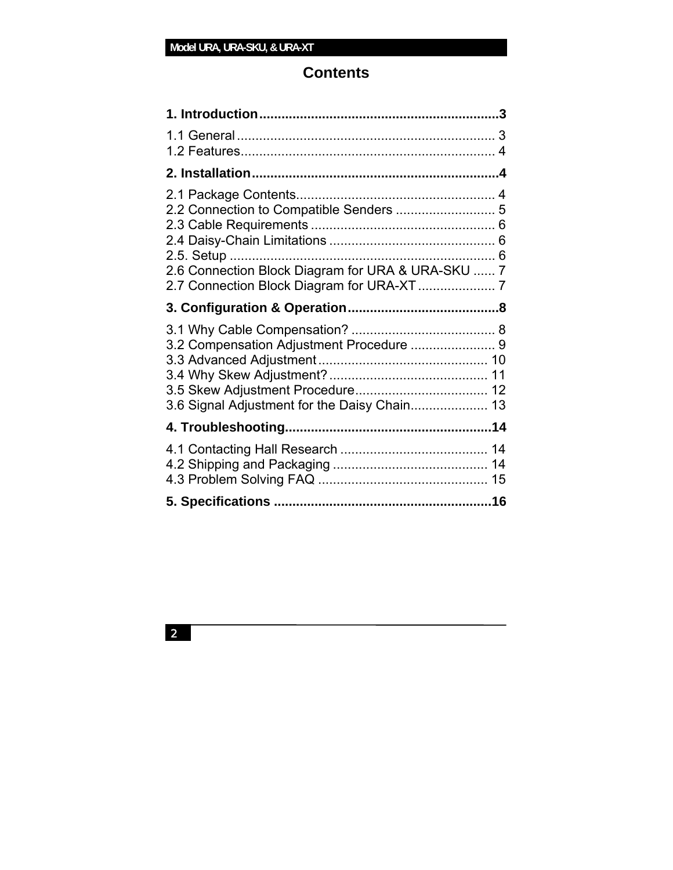# **Contents**

| 2.1 Package Contents<br>2.6 Connection Block Diagram for URA & URA-SKU  7                |  |
|------------------------------------------------------------------------------------------|--|
|                                                                                          |  |
| 3.2 Compensation Adjustment Procedure  9<br>3.6 Signal Adjustment for the Daisy Chain 13 |  |
|                                                                                          |  |
|                                                                                          |  |
|                                                                                          |  |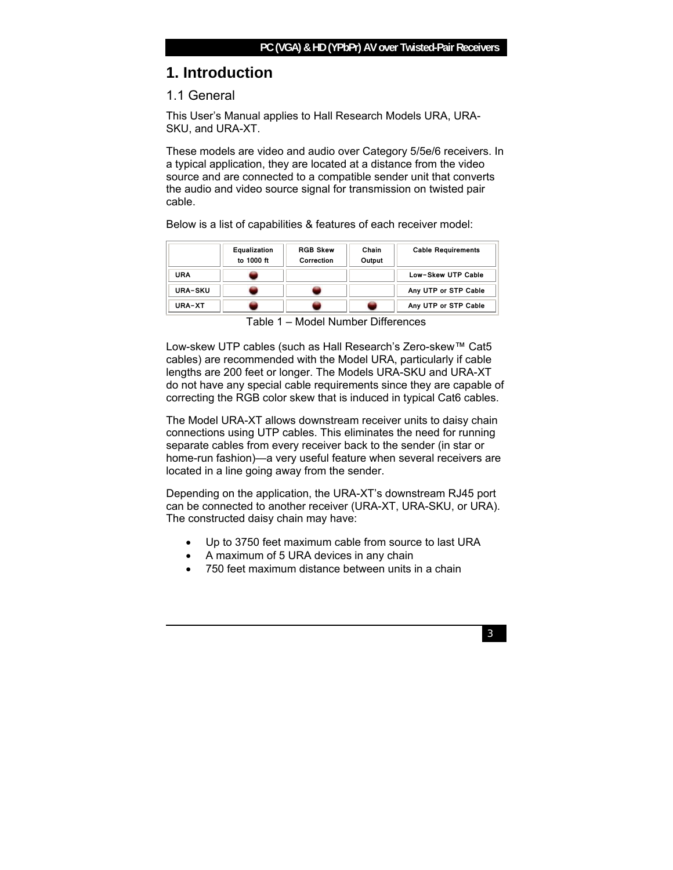# **1. Introduction**

# 1.1 General

This User's Manual applies to Hall Research Models URA, URA-SKU, and URA-XT.

These models are video and audio over Category 5/5e/6 receivers. In a typical application, they are located at a distance from the video source and are connected to a compatible sender unit that converts the audio and video source signal for transmission on twisted pair cable.

Below is a list of capabilities & features of each receiver model:

|                | Equalization<br>to 1000 ft | <b>RGB Skew</b><br>Correction | Chain<br>Output | <b>Cable Requirements</b> |
|----------------|----------------------------|-------------------------------|-----------------|---------------------------|
| URA            |                            |                               |                 | Low-Skew UTP Cable        |
| <b>URA-SKU</b> |                            |                               |                 | Any UTP or STP Cable      |
| <b>URA-XT</b>  |                            |                               |                 | Any UTP or STP Cable      |

Table 1 – Model Number Differences

Low-skew UTP cables (such as Hall Research's Zero-skew™ Cat5 cables) are recommended with the Model URA, particularly if cable lengths are 200 feet or longer. The Models URA-SKU and URA-XT do not have any special cable requirements since they are capable of correcting the RGB color skew that is induced in typical Cat6 cables.

The Model URA-XT allows downstream receiver units to daisy chain connections using UTP cables. This eliminates the need for running separate cables from every receiver back to the sender (in star or home-run fashion)—a very useful feature when several receivers are located in a line going away from the sender.

Depending on the application, the URA-XT's downstream RJ45 port can be connected to another receiver (URA-XT, URA-SKU, or URA). The constructed daisy chain may have:

- Up to 3750 feet maximum cable from source to last URA
- A maximum of 5 URA devices in any chain
- 750 feet maximum distance between units in a chain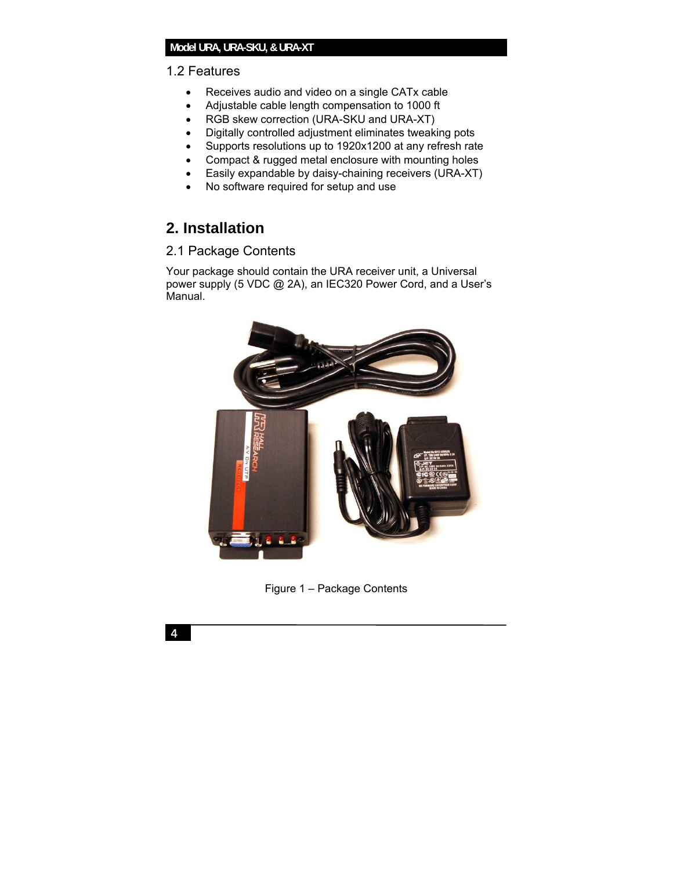### **Model URA, URA-SKU, & URA-XT**

### 1.2 Features

- Receives audio and video on a single CATx cable
- Adjustable cable length compensation to 1000 ft
- RGB skew correction (URA-SKU and URA-XT)
- Digitally controlled adjustment eliminates tweaking pots
- Supports resolutions up to 1920x1200 at any refresh rate
- Compact & rugged metal enclosure with mounting holes
- Easily expandable by daisy-chaining receivers (URA-XT)
- No software required for setup and use

# **2. Installation**

# 2.1 Package Contents

Your package should contain the URA receiver unit, a Universal power supply (5 VDC @ 2A), an IEC320 Power Cord, and a User's Manual.



Figure 1 – Package Contents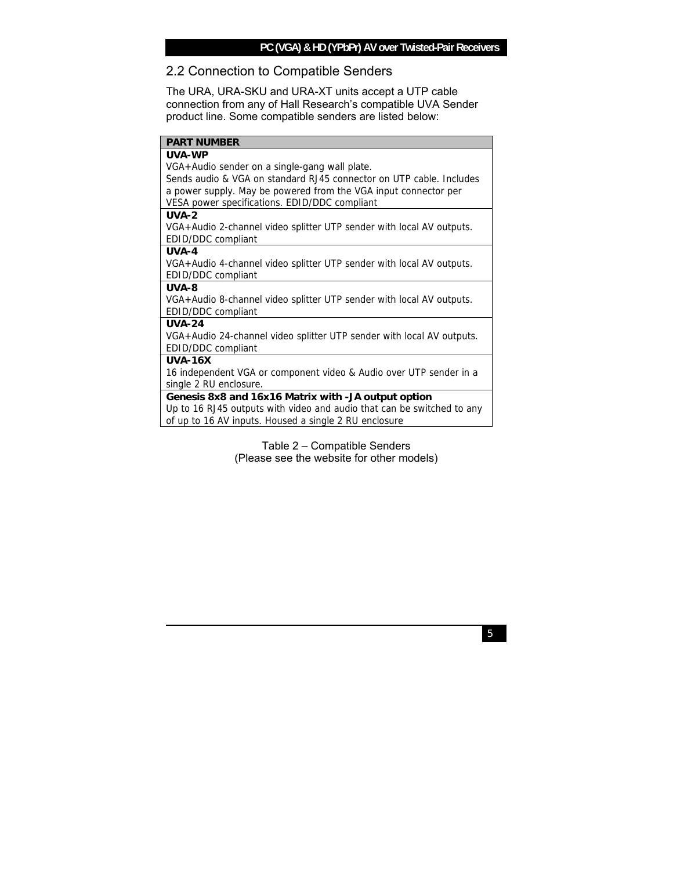### **PC (VGA) & HD (YPbPr) AV over Twisted-Pair Receivers**

## 2.2 Connection to Compatible Senders

The URA, URA-SKU and URA-XT units accept a UTP cable connection from any of Hall Research's compatible UVA Sender product line. Some compatible senders are listed below:

#### **PART NUMBER**

### **UVA-WP**

VGA+Audio sender on a single-gang wall plate.

Sends audio & VGA on standard RJ45 connector on UTP cable. Includes a power supply. May be powered from the VGA input connector per VESA power specifications. EDID/DDC compliant

#### **UVA-2**

VGA+Audio 2-channel video splitter UTP sender with local AV outputs. EDID/DDC compliant

#### **UVA-4**

VGA+Audio 4-channel video splitter UTP sender with local AV outputs. EDID/DDC compliant

#### **UVA-8**

VGA+Audio 8-channel video splitter UTP sender with local AV outputs.

EDID/DDC compliant

#### **UVA-24**

VGA+Audio 24-channel video splitter UTP sender with local AV outputs. EDID/DDC compliant

#### **UVA-16X**

16 independent VGA or component video & Audio over UTP sender in a single 2 RU enclosure.

### **Genesis 8x8 and 16x16 Matrix with -JA output option**

Up to 16 RJ45 outputs with video and audio that can be switched to any of up to 16 AV inputs. Housed a single 2 RU enclosure

> Table 2 – Compatible Senders (Please see the website for other models)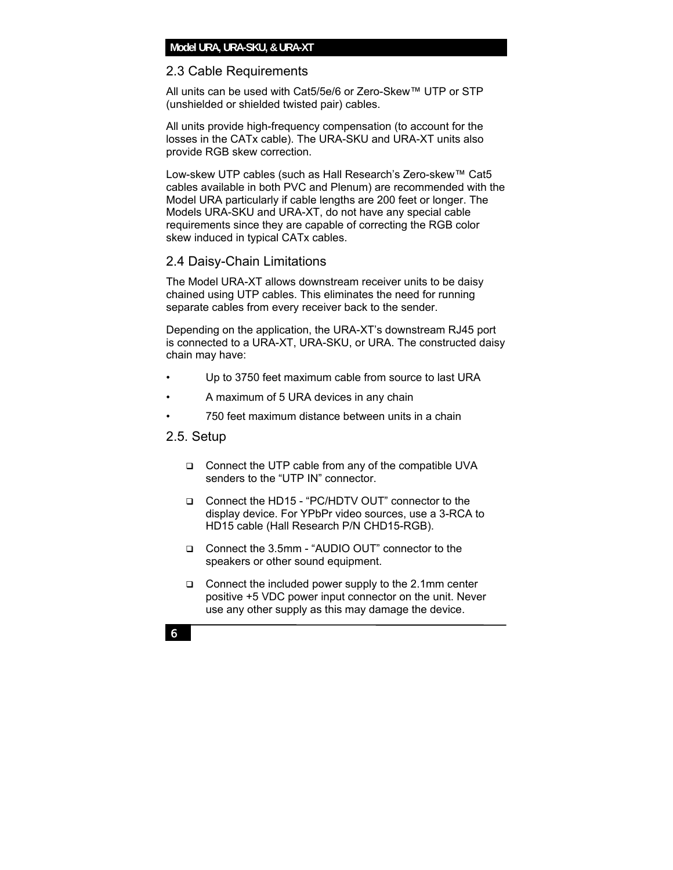### **Model URA, URA-SKU, & URA-XT**

### 2.3 Cable Requirements

All units can be used with Cat5/5e/6 or Zero-Skew™ UTP or STP (unshielded or shielded twisted pair) cables.

All units provide high-frequency compensation (to account for the losses in the CATx cable). The URA-SKU and URA-XT units also provide RGB skew correction.

Low-skew UTP cables (such as Hall Research's Zero-skew™ Cat5 cables available in both PVC and Plenum) are recommended with the Model URA particularly if cable lengths are 200 feet or longer. The Models URA-SKU and URA-XT, do not have any special cable requirements since they are capable of correcting the RGB color skew induced in typical CATx cables.

### 2.4 Daisy-Chain Limitations

The Model URA-XT allows downstream receiver units to be daisy chained using UTP cables. This eliminates the need for running separate cables from every receiver back to the sender.

Depending on the application, the URA-XT's downstream RJ45 port is connected to a URA-XT, URA-SKU, or URA. The constructed daisy chain may have:

- Up to 3750 feet maximum cable from source to last URA
- A maximum of 5 URA devices in any chain
- 750 feet maximum distance between units in a chain

# 2.5. Setup

- □ Connect the UTP cable from any of the compatible UVA senders to the "UTP IN" connector.
- Connect the HD15 "PC/HDTV OUT" connector to the display device. For YPbPr video sources, use a 3-RCA to HD15 cable (Hall Research P/N CHD15-RGB).
- Connect the 3.5mm "AUDIO OUT" connector to the speakers or other sound equipment.
- $\Box$  Connect the included power supply to the 2.1mm center positive +5 VDC power input connector on the unit. Never use any other supply as this may damage the device.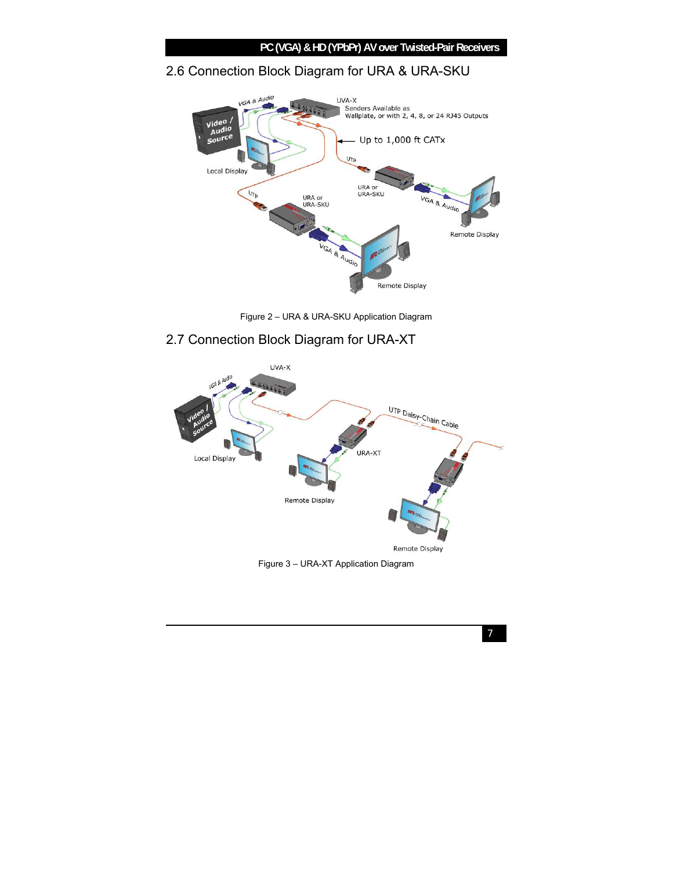### **PC (VGA) & HD (YPbPr) AV over Twisted-Pair Receivers**

# 2.6 Connection Block Diagram for URA & URA-SKU



Figure 2 – URA & URA-SKU Application Diagram

# 2.7 Connection Block Diagram for URA-XT



Figure 3 – URA-XT Application Diagram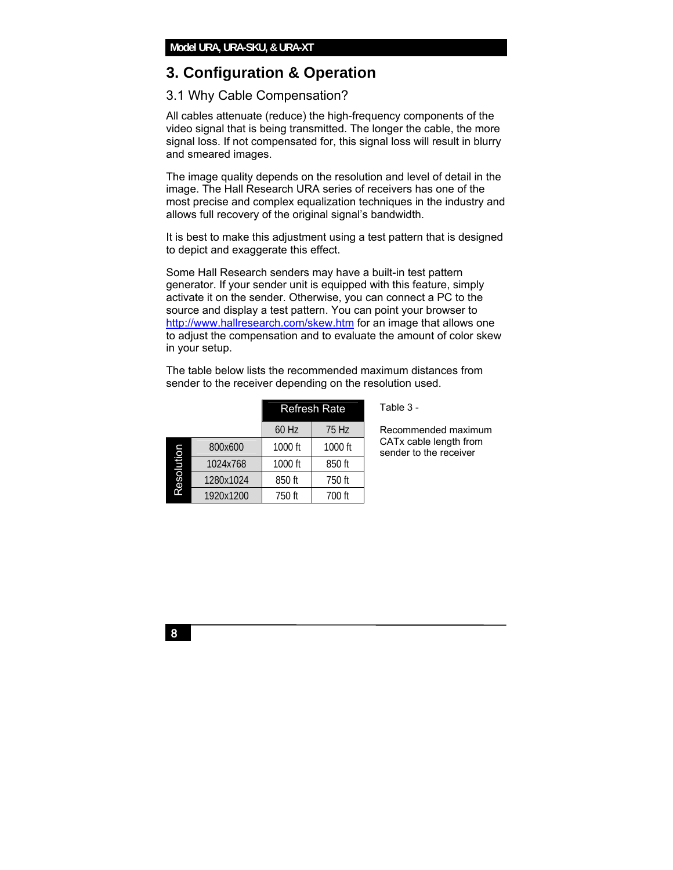# **3. Configuration & Operation**

# 3.1 Why Cable Compensation?

All cables attenuate (reduce) the high-frequency components of the video signal that is being transmitted. The longer the cable, the more signal loss. If not compensated for, this signal loss will result in blurry and smeared images.

The image quality depends on the resolution and level of detail in the image. The Hall Research URA series of receivers has one of the most precise and complex equalization techniques in the industry and allows full recovery of the original signal's bandwidth.

It is best to make this adjustment using a test pattern that is designed to depict and exaggerate this effect.

Some Hall Research senders may have a built-in test pattern generator. If your sender unit is equipped with this feature, simply activate it on the sender. Otherwise, you can connect a PC to the source and display a test pattern. You can point your browser to http://www.hallresearch.com/skew.htm for an image that allows one to adjust the compensation and to evaluate the amount of color skew in your setup.

|           |           |         | <b>Refresh Rate</b> |
|-----------|-----------|---------|---------------------|
|           |           | 60 Hz   | 75 Hz               |
|           | 800x600   | 1000 ft | 1000 ft             |
| noitiose: | 1024x768  | 1000 ft | 850 ft              |
|           | 1280x1024 | 850 ft  | 750 ft              |
|           | 1920x1200 | 750 ft  | 700 ft              |

The table below lists the recommended maximum distances from sender to the receiver depending on the resolution used.

Table 3 -

Recommended maximum CATx cable length from sender to the receiver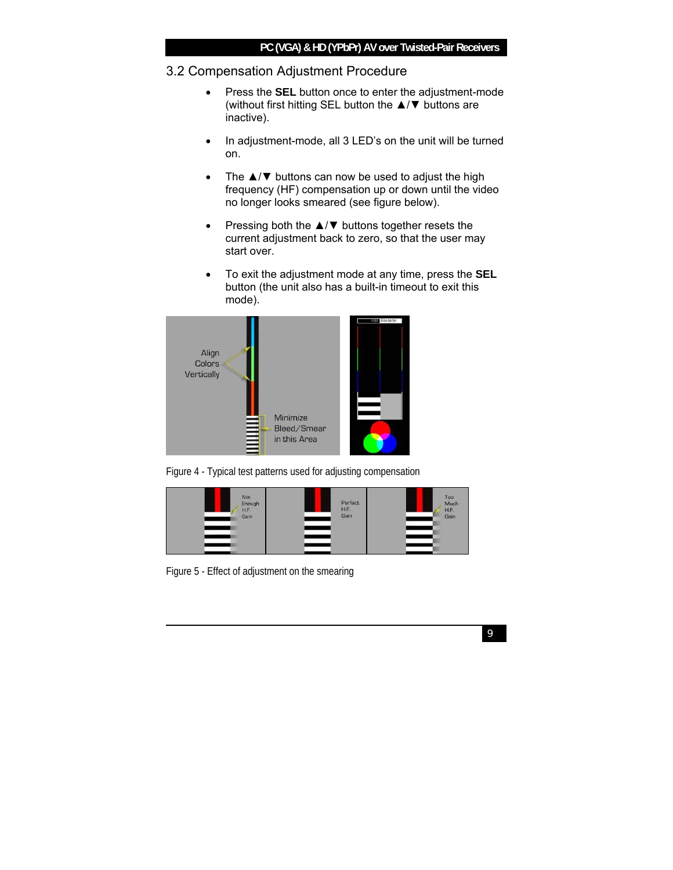## 3.2 Compensation Adjustment Procedure

- Press the **SEL** button once to enter the adjustment-mode (without first hitting SEL button the ▲/▼ buttons are inactive).
- In adjustment-mode, all 3 LED's on the unit will be turned on.
- The  $\triangle$ / $\nabla$  buttons can now be used to adjust the high frequency (HF) compensation up or down until the video no longer looks smeared (see figure below).
- Pressing both the ▲/▼ buttons together resets the current adjustment back to zero, so that the user may start over.
- To exit the adjustment mode at any time, press the **SEL**  button (the unit also has a built-in timeout to exit this mode).



Figure 4 - Typical test patterns used for adjusting compensation



Figure 5 - Effect of adjustment on the smearing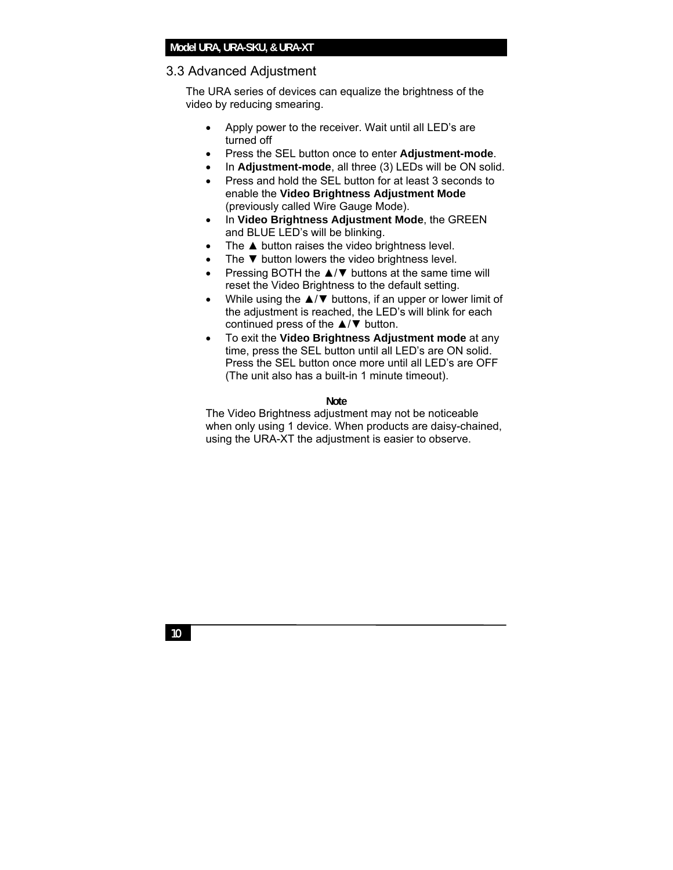### **Model URA, URA-SKU, & URA-XT**

### 3.3 Advanced Adjustment

The URA series of devices can equalize the brightness of the video by reducing smearing.

- Apply power to the receiver. Wait until all LED's are turned off
- Press the SEL button once to enter **Adjustment-mode**.
- In **Adjustment-mode**, all three (3) LEDs will be ON solid.
- Press and hold the SEL button for at least 3 seconds to enable the **Video Brightness Adjustment Mode** (previously called Wire Gauge Mode).
- In **Video Brightness Adjustment Mode**, the GREEN and BLUE LED's will be blinking.
- The ▲ button raises the video brightness level.
- The  $\nabla$  button lowers the video brightness level.
- Pressing BOTH the ▲/▼ buttons at the same time will reset the Video Brightness to the default setting.
- While using the ▲/▼ buttons, if an upper or lower limit of the adjustment is reached, the LED's will blink for each continued press of the ▲/▼ button.
- To exit the **Video Brightness Adjustment mode** at any time, press the SEL button until all LED's are ON solid. Press the SEL button once more until all LED's are OFF (The unit also has a built-in 1 minute timeout).

#### **Note**

The Video Brightness adjustment may not be noticeable when only using 1 device. When products are daisy-chained, using the URA-XT the adjustment is easier to observe.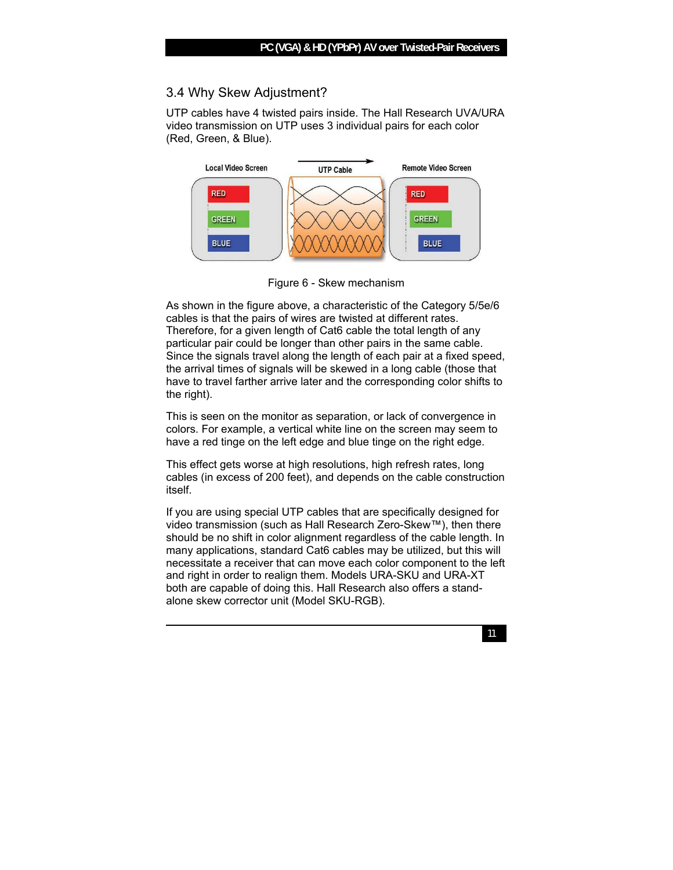# 3.4 Why Skew Adjustment?

UTP cables have 4 twisted pairs inside. The Hall Research UVA/URA video transmission on UTP uses 3 individual pairs for each color (Red, Green, & Blue).



Figure 6 - Skew mechanism

As shown in the figure above, a characteristic of the Category 5/5e/6 cables is that the pairs of wires are twisted at different rates. Therefore, for a given length of Cat6 cable the total length of any particular pair could be longer than other pairs in the same cable. Since the signals travel along the length of each pair at a fixed speed, the arrival times of signals will be skewed in a long cable (those that have to travel farther arrive later and the corresponding color shifts to the right).

This is seen on the monitor as separation, or lack of convergence in colors. For example, a vertical white line on the screen may seem to have a red tinge on the left edge and blue tinge on the right edge.

This effect gets worse at high resolutions, high refresh rates, long cables (in excess of 200 feet), and depends on the cable construction itself.

If you are using special UTP cables that are specifically designed for video transmission (such as Hall Research Zero-Skew™), then there should be no shift in color alignment regardless of the cable length. In many applications, standard Cat6 cables may be utilized, but this will necessitate a receiver that can move each color component to the left and right in order to realign them. Models URA-SKU and URA-XT both are capable of doing this. Hall Research also offers a standalone skew corrector unit (Model SKU-RGB).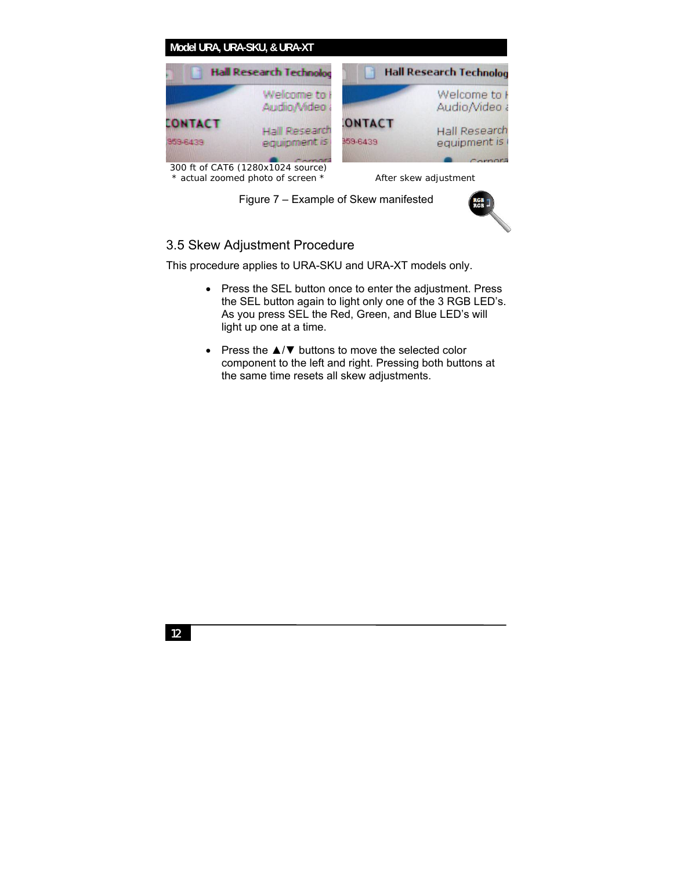

Figure 7 – Example of Skew manifested



# 3.5 Skew Adjustment Procedure

This procedure applies to URA-SKU and URA-XT models only.

- Press the SEL button once to enter the adjustment. Press the SEL button again to light only one of the 3 RGB LED's. As you press SEL the Red, Green, and Blue LED's will light up one at a time.
- Press the  $\triangle$ /▼ buttons to move the selected color component to the left and right. Pressing both buttons at the same time resets all skew adjustments.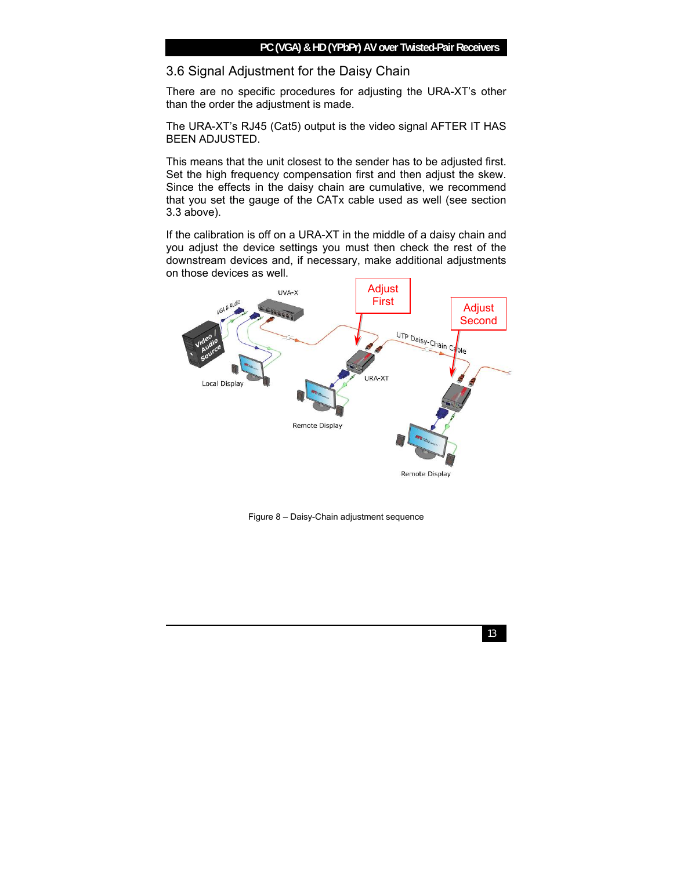# 3.6 Signal Adjustment for the Daisy Chain

There are no specific procedures for adjusting the URA-XT's other than the order the adjustment is made.

The URA-XT's RJ45 (Cat5) output is the video signal AFTER IT HAS BEEN ADJUSTED.

This means that the unit closest to the sender has to be adjusted first. Set the high frequency compensation first and then adjust the skew. Since the effects in the daisy chain are cumulative, we recommend that you set the gauge of the CATx cable used as well (see section 3.3 above).

If the calibration is off on a URA-XT in the middle of a daisy chain and you adjust the device settings you must then check the rest of the downstream devices and, if necessary, make additional adjustments on those devices as well.



Figure 8 – Daisy-Chain adjustment sequence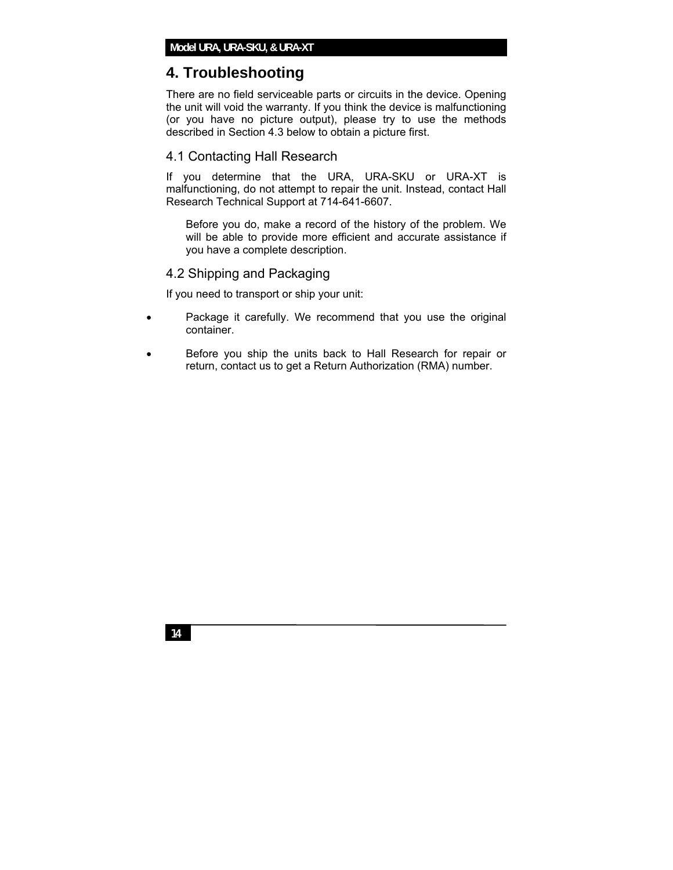# **4. Troubleshooting**

There are no field serviceable parts or circuits in the device. Opening the unit will void the warranty. If you think the device is malfunctioning (or you have no picture output), please try to use the methods described in Section 4.3 below to obtain a picture first.

### 4.1 Contacting Hall Research

If you determine that the URA, URA-SKU or URA-XT is malfunctioning, do not attempt to repair the unit. Instead, contact Hall Research Technical Support at 714-641-6607.

Before you do, make a record of the history of the problem. We will be able to provide more efficient and accurate assistance if you have a complete description.

### 4.2 Shipping and Packaging

If you need to transport or ship your unit:

- Package it carefully. We recommend that you use the original container.
- Before you ship the units back to Hall Research for repair or return, contact us to get a Return Authorization (RMA) number.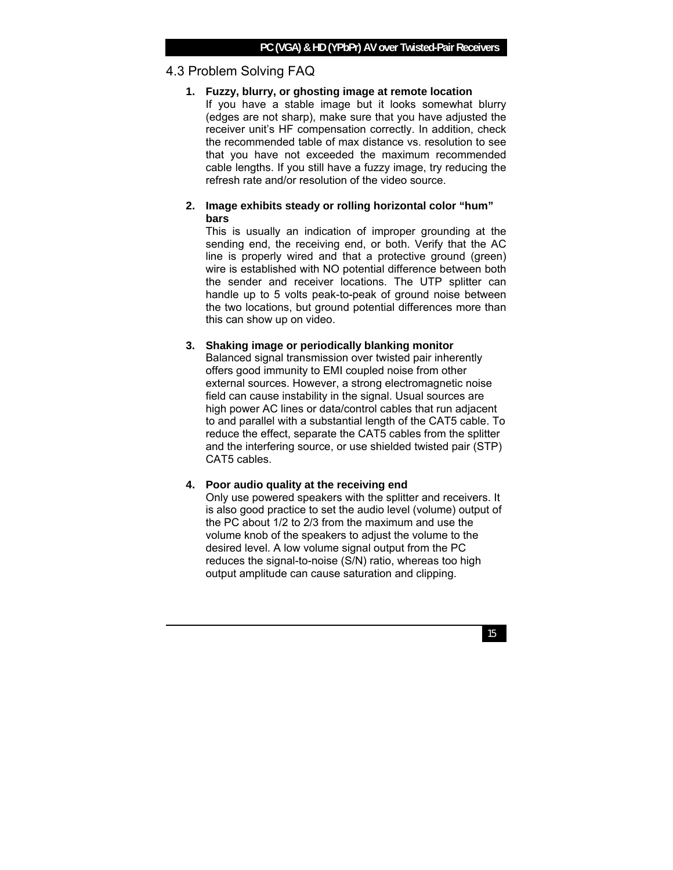# 4.3 Problem Solving FAQ

### **1. Fuzzy, blurry, or ghosting image at remote location**

If you have a stable image but it looks somewhat blurry (edges are not sharp), make sure that you have adjusted the receiver unit's HF compensation correctly. In addition, check the recommended table of max distance vs. resolution to see that you have not exceeded the maximum recommended cable lengths. If you still have a fuzzy image, try reducing the refresh rate and/or resolution of the video source.

### **2. Image exhibits steady or rolling horizontal color "hum" bars**

This is usually an indication of improper grounding at the sending end, the receiving end, or both. Verify that the AC line is properly wired and that a protective ground (green) wire is established with NO potential difference between both the sender and receiver locations. The UTP splitter can handle up to 5 volts peak-to-peak of ground noise between the two locations, but ground potential differences more than this can show up on video.

### **3. Shaking image or periodically blanking monitor**

Balanced signal transmission over twisted pair inherently offers good immunity to EMI coupled noise from other external sources. However, a strong electromagnetic noise field can cause instability in the signal. Usual sources are high power AC lines or data/control cables that run adjacent to and parallel with a substantial length of the CAT5 cable. To reduce the effect, separate the CAT5 cables from the splitter and the interfering source, or use shielded twisted pair (STP) CAT5 cables.

### **4. Poor audio quality at the receiving end**

Only use powered speakers with the splitter and receivers. It is also good practice to set the audio level (volume) output of the PC about 1/2 to 2/3 from the maximum and use the volume knob of the speakers to adjust the volume to the desired level. A low volume signal output from the PC reduces the signal-to-noise (S/N) ratio, whereas too high output amplitude can cause saturation and clipping.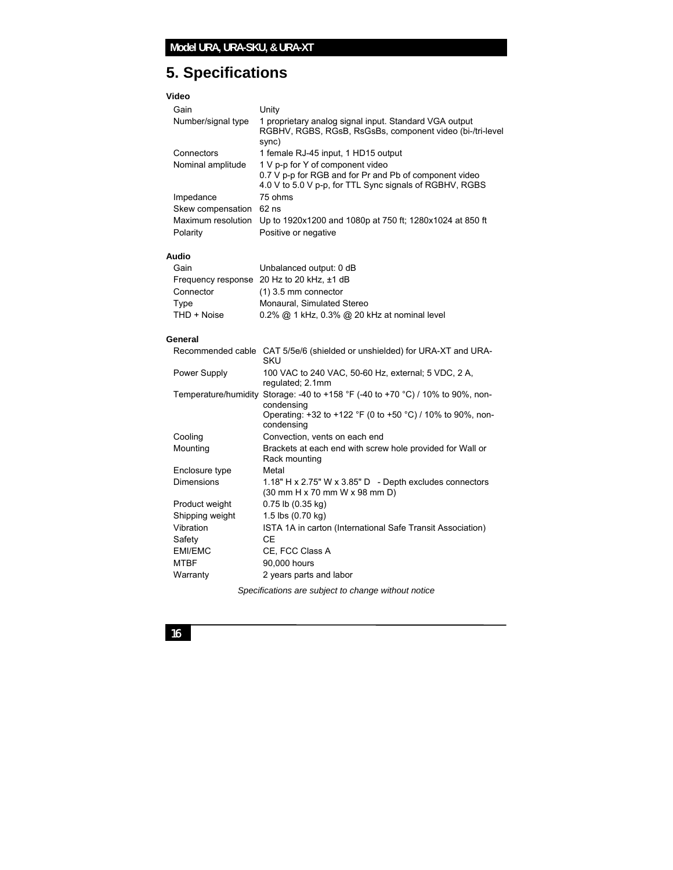# **5. Specifications**

### **Video**

| Gain               | Unity                                                                                                                        |
|--------------------|------------------------------------------------------------------------------------------------------------------------------|
| Number/signal type | 1 proprietary analog signal input. Standard VGA output<br>RGBHV, RGBS, RGsB, RsGsBs, component video (bi-/tri-level<br>sync) |
| Connectors         | 1 female RJ-45 input, 1 HD15 output                                                                                          |
| Nominal amplitude  | 1 V p-p for Y of component video                                                                                             |
|                    | 0.7 V p-p for RGB and for Pr and Pb of component video                                                                       |
|                    | 4.0 V to 5.0 V p-p, for TTL Sync signals of RGBHV, RGBS                                                                      |
| Impedance          | 75 ohms                                                                                                                      |
| Skew compensation  | $62$ ns                                                                                                                      |
| Maximum resolution | Up to 1920x1200 and 1080p at 750 ft; 1280x1024 at 850 ft                                                                     |
| Polarity           | Positive or negative                                                                                                         |
|                    |                                                                                                                              |

#### **Audio**

| Gain        | Unbalanced output: 0 dB                            |
|-------------|----------------------------------------------------|
|             | Frequency response 20 Hz to 20 kHz, ±1 dB          |
| Connector   | $(1)$ 3.5 mm connector                             |
| Type        | Monaural, Simulated Stereo                         |
| THD + Noise | $0.2\%$ @ 1 kHz, $0.3\%$ @ 20 kHz at nominal level |

#### **General**

|                                                       |                   | Recommended cable CAT 5/5e/6 (shielded or unshielded) for URA-XT and URA-<br>SKU                                                                                                            |
|-------------------------------------------------------|-------------------|---------------------------------------------------------------------------------------------------------------------------------------------------------------------------------------------|
|                                                       | Power Supply      | 100 VAC to 240 VAC, 50-60 Hz, external; 5 VDC, 2 A,<br>regulated; 2.1mm                                                                                                                     |
|                                                       |                   | Temperature/humidity Storage: -40 to +158 $\degree$ F (-40 to +70 $\degree$ C) / 10% to 90%, non-<br>condensing<br>Operating: +32 to +122 °F (0 to +50 °C) / 10% to 90%, non-<br>condensing |
|                                                       | Cooling           | Convection, vents on each end                                                                                                                                                               |
|                                                       | Mounting          | Brackets at each end with screw hole provided for Wall or<br>Rack mounting                                                                                                                  |
|                                                       | Enclosure type    | Metal                                                                                                                                                                                       |
|                                                       | <b>Dimensions</b> | 1.18" H x 2.75" W x 3.85" D - Depth excludes connectors<br>(30 mm H x 70 mm W x 98 mm D)                                                                                                    |
|                                                       | Product weight    | $0.75$ lb $(0.35$ kg)                                                                                                                                                                       |
|                                                       | Shipping weight   | 1.5 lbs (0.70 kg)                                                                                                                                                                           |
|                                                       | Vibration         | ISTA 1A in carton (International Safe Transit Association)                                                                                                                                  |
|                                                       | Safety            | СE                                                                                                                                                                                          |
|                                                       | EMI/EMC           | CE, FCC Class A                                                                                                                                                                             |
|                                                       | <b>MTBF</b>       | 90,000 hours                                                                                                                                                                                |
|                                                       | Warranty          | 2 years parts and labor                                                                                                                                                                     |
| Conceifications are outliest to shapes without potion |                   |                                                                                                                                                                                             |

*Specifications are subject to change without notice*